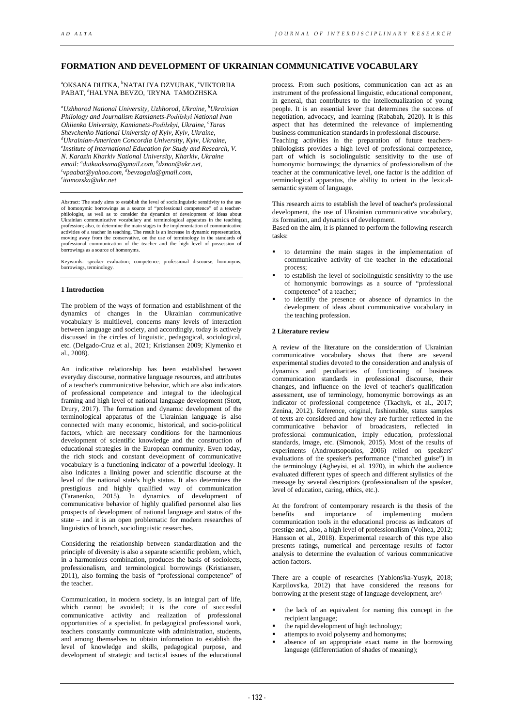# **FORMATION AND DEVELOPMENT OF UKRAINIAN COMMUNICATIVE VOCABULARY**

<sup>a</sup>OKSANA DUTKA, <sup>b</sup>NATALIYA DZYUBAK, <sup>c</sup>VIKTORIIA PABAT, <sup>d</sup>HALYNA BEVZO, °IRYNA TAMOZHSKA

*a Uzhhorod National University, Uzhhorod, Ukraine, <sup>b</sup> Ukrainian Philology and Journalism Kamianets-Podіlskyi National Ivan Ohiienko University, Kamianets-Podіlskyi, Ukraine, <sup>c</sup> Taras Shevchenko National University of Kyiv, Kyiv, Ukraine, d Ukrainian-American Concordia University, Kyiv, Ukraine, e email: a dutkaoksana@gmail.com, b dznan@ukr.net, c Institute of International Education for Study and Research, V. N. Karazin Kharkiv National University, Kharkiv, Ukraine vpaabat@yahoo.com, d [bevzogala@gmail.com,](mailto:dbevzogala@gmail.com) e itamozska@ukr.net* 

Abstract: The study aims to establish the level of sociolinguistic sensitivity to the use of homonymic borrowings as a source of "professional competence" of a teacher-philologist, as well as to consider the dynamics of development of ideas about Ukrainian communicative vocabulary and terminological apparatus in the teaching profession; also, to determine the main stages in the implementation of communicative activities of a teacher in teaching. The result is an increase in dynamic representation, moving away from the onservative, on the use o borrowings as a source of homonyms.

Keywords: speaker evaluation; competence; professional discourse, homonyms, borrowings, terminology.

#### **1 Introduction**

The problem of the ways of formation and establishment of the dynamics of changes in the Ukrainian communicative vocabulary is multilevel, concerns many levels of interaction between language and society, and accordingly, today is actively discussed in the circles of linguistic, pedagogical, sociological, etc. (Delgado-Cruz et al., 2021; Kristiansen 2009; Klymenko et al., 2008).

An indicative relationship has been established between everyday discourse, normative language resources, and attributes of a teacher's communicative behavior, which are also indicators of professional competence and integral to the ideological framing and high level of national language development (Stott, Drury, 2017). The formation and dynamic development of the terminological apparatus of the Ukrainian language is also connected with many economic, historical, and socio-political factors, which are necessary conditions for the harmonious development of scientific knowledge and the construction of educational strategies in the European community. Even today, the rich stock and constant development of communicative vocabulary is a functioning indicator of a powerful ideology. It also indicates a linking power and scientific discourse at the level of the national state's high status. It also determines the prestigious and highly qualified way of communication (Taranenko, 2015). In dynamics of development of communicative behavior of highly qualified personnel also lies prospects of development of national language and status of the state – and it is an open problematic for modern researches of linguistics of branch, sociolinguistic researches.

Considering the relationship between standardization and the principle of diversity is also a separate scientific problem, which, in a harmonious combination, produces the basis of sociolects, professionalism, and terminological borrowings (Kristiansen, 2011), also forming the basis of "professional competence" of the teacher.

Communication, in modern society, is an integral part of life, which cannot be avoided; it is the core of successful communicative activity and realization of professional opportunities of a specialist. In pedagogical professional work, teachers constantly communicate with administration, students, and among themselves to obtain information to establish the level of knowledge and skills, pedagogical purpose, and development of strategic and tactical issues of the educational

process. From such positions, communication can act as an instrument of the professional linguistic, educational component, in general, that contributes to the intellectualization of young people. It is an essential lever that determines the success of negotiation, advocacy, and learning (Rababah, 2020). It is this aspect that has determined the relevance of implementing business communication standards in professional discourse.

Teaching activities in the preparation of future teachersphilologists provides a high level of professional competence, part of which is sociolinguistic sensitivity to the use of homonymic borrowings; the dynamics of professionalism of the teacher at the communicative level, one factor is the addition of terminological apparatus, the ability to orient in the lexicalsemantic system of language.

This research aims to establish the level of teacher's professional development, the use of Ukrainian communicative vocabulary, its formation, and dynamics of development.

Based on the aim, it is planned to perform the following research tasks:

- to determine the main stages in the implementation of communicative activity of the teacher in the educational process;
- to establish the level of sociolinguistic sensitivity to the use of homonymic borrowings as a source of "professional competence" of a teacher;
- to identify the presence or absence of dynamics in the development of ideas about communicative vocabulary in the teaching profession.

#### **2 Literature review**

A review of the literature on the consideration of Ukrainian communicative vocabulary shows that there are several experimental studies devoted to the consideration and analysis of dynamics and peculiarities of functioning of business communication standards in professional discourse, their changes, and influence on the level of teacher's qualification assessment, use of terminology, homonymic borrowings as an indicator of professional competence (Tkachyk, et al., 2017; Zenina, 2012). Reference, original, fashionable, status samples of texts are considered and how they are further reflected in the communicative behavior of broadcasters, reflected in professional communication, imply education, professional standards, image, etc. (Simonok, 2015). Most of the results of experiments (Androutsopoulos, 2006) relied on speakers' evaluations of the speaker's performance ("matched guise") in the terminology (Agheyisi, et al. 1970), in which the audience evaluated different types of speech and different stylistics of the message by several descriptors (professionalism of the speaker, level of education, caring, ethics, etc.).

At the forefront of contemporary research is the thesis of the benefits and importance of implementing modern and importance of implementing modern communication tools in the educational process as indicators of prestige and, also, a high level of professionalism (Voinea, 2012; Hansson et al., 2018). Experimental research of this type also presents ratings, numerical and percentage results of factor analysis to determine the evaluation of various communicative action factors.

There are a couple of researches (Yablons'ka-Yusyk, 2018; Karpilovs'ka, 2012) that have considered the reasons for borrowing at the present stage of language development, are^

- the lack of an equivalent for naming this concept in the recipient language;
- the rapid development of high technology;
- attempts to avoid polysemy and homonyms;
- absence of an appropriate exact name in the borrowing language (differentiation of shades of meaning);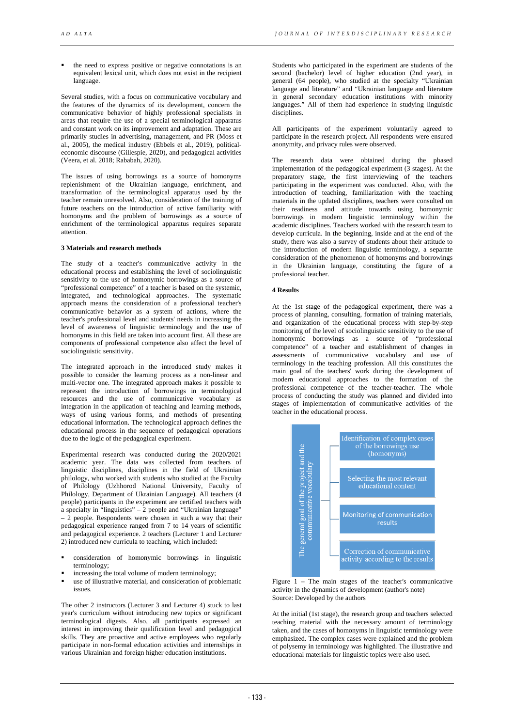the need to express positive or negative connotations is an equivalent lexical unit, which does not exist in the recipient language.

Several studies, with a focus on communicative vocabulary and the features of the dynamics of its development, concern the communicative behavior of highly professional specialists in areas that require the use of a special terminological apparatus and constant work on its improvement and adaptation. These are primarily studies in advertising, management, and PR (Moss et al., 2005), the medical industry (Ebbels et al., 2019), politicaleconomic discourse (Gillespie, 2020), and pedagogical activities (Veera, et al. 2018; Rababah, 2020).

The issues of using borrowings as a source of homonyms replenishment of the Ukrainian language, enrichment, and transformation of the terminological apparatus used by the teacher remain unresolved. Also, consideration of the training of future teachers on the introduction of active familiarity with homonyms and the problem of borrowings as a source of enrichment of the terminological apparatus requires separate attention.

## **3 Materials and research methods**

The study of a teacher's communicative activity in the educational process and establishing the level of sociolinguistic sensitivity to the use of homonymic borrowings as a source of "professional competence" of a teacher is based on the systemic, integrated, and technological approaches. The systematic approach means the consideration of a professional teacher's communicative behavior as a system of actions, where the teacher's professional level and students' needs in increasing the level of awareness of linguistic terminology and the use of homonyms in this field are taken into account first. All these are components of professional competence also affect the level of sociolinguistic sensitivity.

The integrated approach in the introduced study makes it possible to consider the learning process as a non-linear and multi-vector one. The integrated approach makes it possible to represent the introduction of borrowings in terminological resources and the use of communicative vocabulary as integration in the application of teaching and learning methods, ways of using various forms, and methods of presenting educational information. The technological approach defines the educational process in the sequence of pedagogical operations due to the logic of the pedagogical experiment.

Experimental research was conducted during the 2020/2021 academic year. The data was collected from teachers of linguistic disciplines, disciplines in the field of Ukrainian philology, who worked with students who studied at the Faculty of Philology (Uzhhorod National University, Faculty of Philology, Department of Ukrainian Language). All teachers (4 people) participants in the experiment are certified teachers with a specialty in "linguistics"  $-2$  people and "Ukrainian language"  $-2$  people. Respondents were chosen in such a way that their pedagogical experience ranged from 7 to 14 years of scientific and pedagogical experience. 2 teachers (Lecturer 1 and Lecturer 2) introduced new curricula to teaching, which included:

- consideration of homonymic borrowings in linguistic terminology;
- increasing the total volume of modern terminology;
- use of illustrative material, and consideration of problematic issues.

The other 2 instructors (Lecturer 3 and Lecturer 4) stuck to last year's curriculum without introducing new topics or significant terminological digests. Also, all participants expressed an interest in improving their qualification level and pedagogical skills. They are proactive and active employees who regularly participate in non-formal education activities and internships in various Ukrainian and foreign higher education institutions.

Students who participated in the experiment are students of the second (bachelor) level of higher education (2nd year), in general (64 people), who studied at the specialty "Ukrainian language and literature" and "Ukrainian language and literature in general secondary education institutions with minority languages." All of them had experience in studying linguistic disciplines.

All participants of the experiment voluntarily agreed to participate in the research project. All respondents were ensured anonymity, and privacy rules were observed.

The research data were obtained during the phased implementation of the pedagogical experiment (3 stages). At the preparatory stage, the first interviewing of the teachers participating in the experiment was conducted. Also, with the introduction of teaching, familiarization with the teaching materials in the updated disciplines, teachers were consulted on their readiness and attitude towards using homonymic borrowings in modern linguistic terminology within the academic disciplines. Teachers worked with the research team to develop curricula. In the beginning, inside and at the end of the study, there was also a survey of students about their attitude to the introduction of modern linguistic terminology, a separate consideration of the phenomenon of homonyms and borrowings in the Ukrainian language, constituting the figure of a professional teacher.

## **4 Results**

At the 1st stage of the pedagogical experiment, there was a process of planning, consulting, formation of training materials, and organization of the educational process with step-by-step monitoring of the level of sociolinguistic sensitivity to the use of homonymic borrowings as a source of "professional competence" of a teacher and establishment of changes in assessments of communicative vocabulary and use of terminology in the teaching profession. All this constitutes the main goal of the teachers' work during the development of modern educational approaches to the formation of the professional competence of the teacher-teacher. The whole process of conducting the study was planned and divided into stages of implementation of communicative activities of the teacher in the educational process.



Figure 1 **–** The main stages of the teacher's communicative activity in the dynamics of development (author's note) Source: Developed by the authors

At the initial (1st stage), the research group and teachers selected teaching material with the necessary amount of terminology taken, and the cases of homonyms in linguistic terminology were emphasized. The complex cases were explained and the problem of polysemy in terminology was highlighted. The illustrative and educational materials for linguistic topics were also used.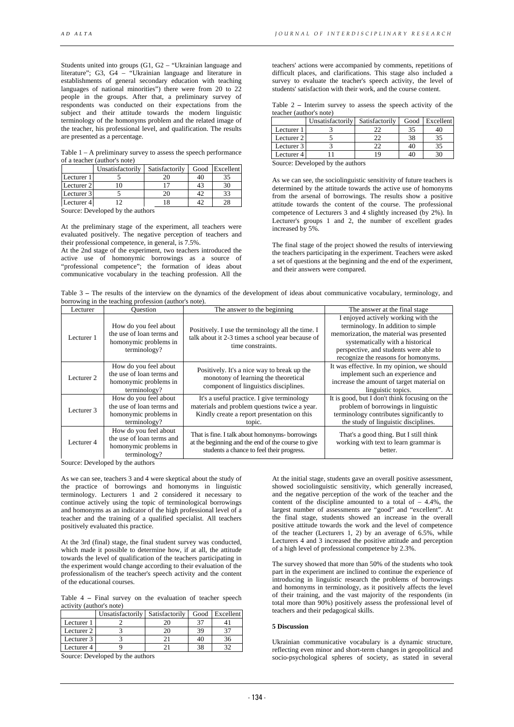Students united into groups (G1, G2 – "Ukrainian language and literature"; G3, G4 – "Ukrainian language and literature in establishments of general secondary education with teaching languages of national minorities") there were from 20 to 22 people in the groups. After that, a preliminary survey of respondents was conducted on their expectations from the subject and their attitude towards the modern linguistic terminology of the homonyms problem and the related image of the teacher, his professional level, and qualification. The results are presented as a percentage.

Table 1 – A preliminary survey to assess the speech performance of a teacher (author's note)

| Unsatisfactorily |    |                | Good Excellent |
|------------------|----|----------------|----------------|
|                  |    | 40             |                |
| Lecturer 2       |    |                |                |
| Lecturer 3       | 20 |                | 33             |
| Lecturer 4       | 18 |                | 28             |
|                  |    | Satisfactorily |                |

Source: Developed by the authors

At the preliminary stage of the experiment, all teachers were evaluated positively. The negative perception of teachers and their professional competence, in general, is 7.5%.

At the 2nd stage of the experiment, two teachers introduced the active use of homonymic borrowings as a source of "professional competence"; the formation of ideas about communicative vocabulary in the teaching profession. All the

teachers' actions were accompanied by comments, repetitions of difficult places, and clarifications. This stage also included a survey to evaluate the teacher's speech activity, the level of students' satisfaction with their work, and the course content.

| Table $2$ – Interim survey to assess the speech activity of the |  |  |  |  |
|-----------------------------------------------------------------|--|--|--|--|
| teacher (author's note)                                         |  |  |  |  |

|            | Unsatisfactorily Satisfactorily |    |    | Good Excellent |
|------------|---------------------------------|----|----|----------------|
| Lecturer 1 |                                 |    |    |                |
| Lecturer 2 |                                 |    | 38 |                |
| Lecturer 3 |                                 |    | 40 |                |
| Lecturer 4 |                                 | 19 |    |                |

Source: Developed by the authors

As we can see, the sociolinguistic sensitivity of future teachers is determined by the attitude towards the active use of homonyms from the arsenal of borrowings. The results show a positive attitude towards the content of the course. The professional competence of Lecturers 3 and 4 slightly increased (by 2%). In Lecturer's groups 1 and 2, the number of excellent grades increased by 5%.

The final stage of the project showed the results of interviewing the teachers participating in the experiment. Teachers were asked a set of questions at the beginning and the end of the experiment, and their answers were compared.

Table 3 **–** The results of the interview on the dynamics of the development of ideas about communicative vocabulary, terminology, and borrowing in the teaching profession (author's note).

| Lecturer   | Ouestion                                                                                    | The answer to the beginning                                                                                                                          | The answer at the final stage                                                                                                                                                                                                              |  |
|------------|---------------------------------------------------------------------------------------------|------------------------------------------------------------------------------------------------------------------------------------------------------|--------------------------------------------------------------------------------------------------------------------------------------------------------------------------------------------------------------------------------------------|--|
| Lecturer 1 | How do you feel about<br>the use of loan terms and<br>homonymic problems in<br>terminology? | Positively. I use the terminology all the time. I<br>talk about it 2-3 times a school year because of<br>time constraints.                           | I enjoyed actively working with the<br>terminology. In addition to simple<br>memorization, the material was presented<br>systematically with a historical<br>perspective, and students were able to<br>recognize the reasons for homonyms. |  |
| Lecturer 2 | How do you feel about<br>the use of loan terms and<br>homonymic problems in<br>terminology? | Positively. It's a nice way to break up the<br>monotony of learning the theoretical<br>component of linguistics disciplines.                         | It was effective. In my opinion, we should<br>implement such an experience and<br>increase the amount of target material on<br>linguistic topics.                                                                                          |  |
| Lecturer 3 | How do you feel about<br>the use of loan terms and<br>homonymic problems in<br>terminology? | It's a useful practice. I give terminology<br>materials and problem questions twice a year.<br>Kindly create a report presentation on this<br>topic. | It is good, but I don't think focusing on the<br>problem of borrowings in linguistic<br>terminology contributes significantly to<br>the study of linguistic disciplines.                                                                   |  |
| Lecturer 4 | How do you feel about<br>the use of loan terms and<br>homonymic problems in<br>terminology? | That is fine. I talk about homonyms-borrowings<br>at the beginning and the end of the course to give<br>students a chance to feel their progress.    | That's a good thing. But I still think<br>working with text to learn grammar is<br>better.                                                                                                                                                 |  |

Source: Developed by the authors

As we can see, teachers 3 and 4 were skeptical about the study of the practice of borrowings and homonyms in linguistic terminology. Lecturers 1 and 2 considered it necessary to continue actively using the topic of terminological borrowings and homonyms as an indicator of the high professional level of a teacher and the training of a qualified specialist. All teachers positively evaluated this practice.

At the 3rd (final) stage, the final student survey was conducted, which made it possible to determine how, if at all, the attitude towards the level of qualification of the teachers participating in the experiment would change according to their evaluation of the professionalism of the teacher's speech activity and the content of the educational courses.

Table 4 **–** Final survey on the evaluation of teacher speech activity (author's note)

|            | Unsatisfactorily   Satisfactorily |    | Good Excellent |
|------------|-----------------------------------|----|----------------|
| Lecturer 1 |                                   |    |                |
| Lecturer 2 |                                   | 39 |                |
| Lecturer 3 |                                   |    | 36             |
| Lecturer 4 |                                   |    | າາ             |

Source: Developed by the authors

At the initial stage, students gave an overall positive assessment, showed sociolinguistic sensitivity, which generally increased, and the negative perception of the work of the teacher and the content of the discipline amounted to a total of  $-4.4\%$ , the largest number of assessments are "good" and "excellent". At the final stage, students showed an increase in the overall positive attitude towards the work and the level of competence of the teacher (Lecturers 1, 2) by an average of 6.5%, while Lecturers 4 and 3 increased the positive attitude and perception of a high level of professional competence by 2.3%.

The survey showed that more than 50% of the students who took part in the experiment are inclined to continue the experience of introducing in linguistic research the problems of borrowings and homonyms in terminology, as it positively affects the level of their training, and the vast majority of the respondents (in total more than 90%) positively assess the professional level of teachers and their pedagogical skills.

#### **5 Discussion**

Ukrainian communicative vocabulary is a dynamic structure, reflecting even minor and short-term changes in geopolitical and socio-psychological spheres of society, as stated in several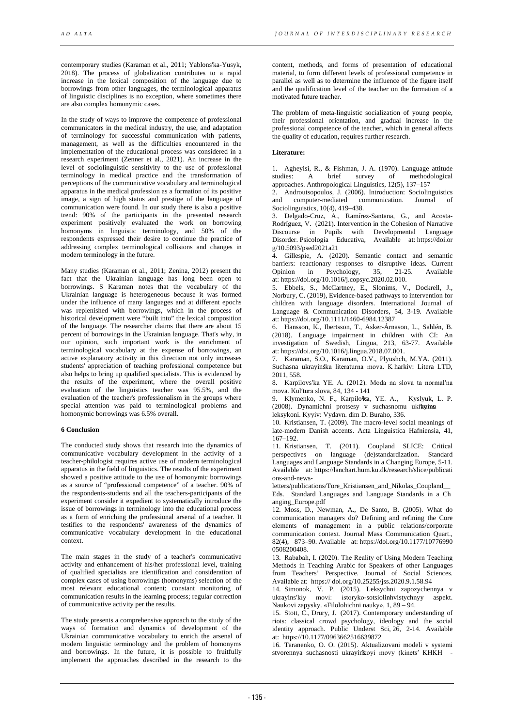contemporary studies (Karaman et al., 2011; Yablons'ka-Yusyk, 2018). The process of globalization contributes to a rapid increase in the lexical composition of the language due to borrowings from other languages, the terminological apparatus of linguistic disciplines is no exception, where sometimes there are also complex homonymic cases.

In the study of ways to improve the competence of professional communicators in the medical industry, the use, and adaptation of terminology for successful communication with patients, management, as well as the difficulties encountered in the implementation of the educational process was considered in a research experiment (Zenner et al., 2021). An increase in the level of sociolinguistic sensitivity to the use of professional terminology in medical practice and the transformation of perceptions of the communicative vocabulary and terminological apparatus in the medical profession as a formation of its positive image, a sign of high status and prestige of the language of communication were found. In our study there is also a positive trend: 90% of the participants in the presented research experiment positively evaluated the work on borrowing homonyms in linguistic terminology, and 50% of the respondents expressed their desire to continue the practice of addressing complex terminological collisions and changes in modern terminology in the future.

Many studies (Karaman et al., 2011; Zenina, 2012) present the fact that the Ukrainian language has long been open to borrowings. S Karaman notes that the vocabulary of the Ukrainian language is heterogeneous because it was formed under the influence of many languages and at different epochs was replenished with borrowings, which in the process of historical development were "built into" the lexical composition of the language. The researcher claims that there are about 15 percent of borrowings in the Ukrainian language. That's why, in our opinion, such important work is the enrichment of terminological vocabulary at the expense of borrowings, an active explanatory activity in this direction not only increases students' appreciation of teaching professional competence but also helps to bring up qualified specialists. This is evidenced by the results of the experiment, where the overall positive evaluation of the linguistics teacher was 95.5%, and the evaluation of the teacher's professionalism in the groups where special attention was paid to terminological problems and homonymic borrowings was 6.5% overall.

### **6 Conclusion**

The conducted study shows that research into the dynamics of communicative vocabulary development in the activity of a teacher-philologist requires active use of modern terminological apparatus in the field of linguistics. The results of the experiment showed a positive attitude to the use of homonymic borrowings as a source of "professional competence" of a teacher. 90% of the respondents-students and all the teachers-participants of the experiment consider it expedient to systematically introduce the issue of borrowings in terminology into the educational process as a form of enriching the professional arsenal of a teacher. It testifies to the respondents' awareness of the dynamics of communicative vocabulary development in the educational context.

The main stages in the study of a teacher's communicative activity and enhancement of his/her professional level, training of qualified specialists are identification and consideration of complex cases of using borrowings (homonyms) selection of the most relevant educational content; constant monitoring of communication results in the learning process; regular correction of communicative activity per the results.

The study presents a comprehensive approach to the study of the ways of formation and dynamics of development of the Ukrainian communicative vocabulary to enrich the arsenal of modern linguistic terminology and the problem of homonyms and borrowings. In the future, it is possible to fruitfully implement the approaches described in the research to the

content, methods, and forms of presentation of educational material, to form different levels of professional competence in parallel as well as to determine the influence of the figure itself and the qualification level of the teacher on the formation of a motivated future teacher.

The problem of meta-linguistic socialization of young people, their professional orientation, and gradual increase in the professional competence of the teacher, which in general affects the quality of education, requires further research.

## **Literature:**

1. Agheyisi, R., & Fishman, J. A. (1970). Language attitude studies: A brief survey of methodological A brief approaches. Anthropological Linguistics, 12(5), 137–157

2. Androutsopoulos, J. (2006). Introduction: Sociolinguistics<br>and computer-mediated communication Journal of and computer-mediated communication. Journal Sociolinguistics, 10(4), 419–438.

3. Delgado-Cruz, A., Ramírez-Santana, G., and Acosta-Rodríguez, V. (2021). Intervention in the Cohesion of Narrative Discourse in Pupils with Developmental Language Disorder. Psicología Educativa, Available at: https://doi.or g/10.5093/psed2021a21

4. Gillespie, A. (2020). Semantic contact and semantic barriers: reactionary responses to disruptive ideas. Current Opinion in Psychology, 35, 21-25. Available  $P$ sychology, at: https://doi.org/10.1016/j.copsyc.2020.02.010.

5. Ebbels, S., McCartney, E., Slonims, V., Dockrell, J., Norbury, C. (2019), Evidence-based pathways to intervention for children with language disorders. International Journal of Language & Communication Disorders, 54, 3-19. Available at: https://doi.org/10.1111/1460-6984.12387

6. Hansson, K., Ibertsson, T., Asker-Árnason, L., Sahlén, B. (2018). Language impairment in children with CI: An investigation of Swedish, Lingua, 213, 63-77. Available at: https://doi.org/10.1016/j.lingua.2018.07.001.

7. Karaman, S.O., Karaman, O.V., Plyushch, M.YA. (2011). Suchasna ukravinska literaturna mova. K harkiv: Litera LTD, 2011, 558.

8. Karpilovsʹka YE. A. (2012). Moda na slova ta normalʹna mova. Kul'tura slova, 84, 134 - 141

9. Klymenko, N. F., Karpilo<sup>t</sup>ka, Y.E. A., Kyslyuk, L. P. (2008). Dynamichni protsesy v suchasnomu ukŕkyins leksykoni. Kyyiv: Vydavn. dim D. Buraho, 336.

10. Kristiansen, T. (2009). The macro-level social meanings of

late-modern Danish accents. Acta Linguistica Hafniensia, 41, 167–192.

11. Kristiansen, T. (2011). Coupland SLICE: Critical perspectives on language (de)standardization. Standard Languages and Language Standards in a Changing Europe, 5-11. Available at: https://lanchart.hum.ku.dk/research/slice/publicati ons-and-news-

letters/publications/Tore\_Kristiansen\_and\_Nikolas\_Coupland\_\_ Eds.\_\_Standard\_Languages\_and\_Language\_Standards\_in\_a\_Ch anging\_Europe.pdf

12. Moss, D., Newman, A., De Santo, B. (2005). What do communication managers do? Defining and refining the Core elements of management in a public relations/corporate communication context. Journal Mass Communication Quart., 82(4), 873–90. Available at: https://doi.org/10.1177/10776990 0508200408.

13. Rababah, І. (2020). The Reality of Using Modern Teaching Methods in Teaching Arabic for Speakers of other Languages from Teachers' Perspective. Journal of Social Sciences. Available at: https:// doi.org/10.25255/jss.2020.9.1.58.94

14. Simonok, V. P. (2015). Leksychni zapozychennya v ukrayinsʹkiy movi: istoryko-sotsiolinhvistychnyy aspekt. Naukovi zapysky. «Filolohichni nauky», 1, 89 – 94.

15. Stott, C., Drury, J. (2017). Contemporary understanding of riots: classical crowd psychology, ideology and the social identity approach. Public Underst Sci, 26, 2-14. Available at: https://10.1177/0963662516639872

16. Taranenko, O. O. (2015). Aktualizovani modeli v systemi stvorennya suchasnosti ukrayinkoyi movy (kinets' KHKH -